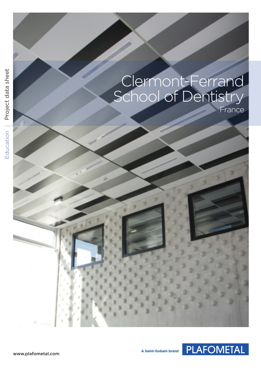| sheet<br>Project data | Clermont-Ferrand<br>School of Dentistry |
|-----------------------|-----------------------------------------|
| Education             |                                         |